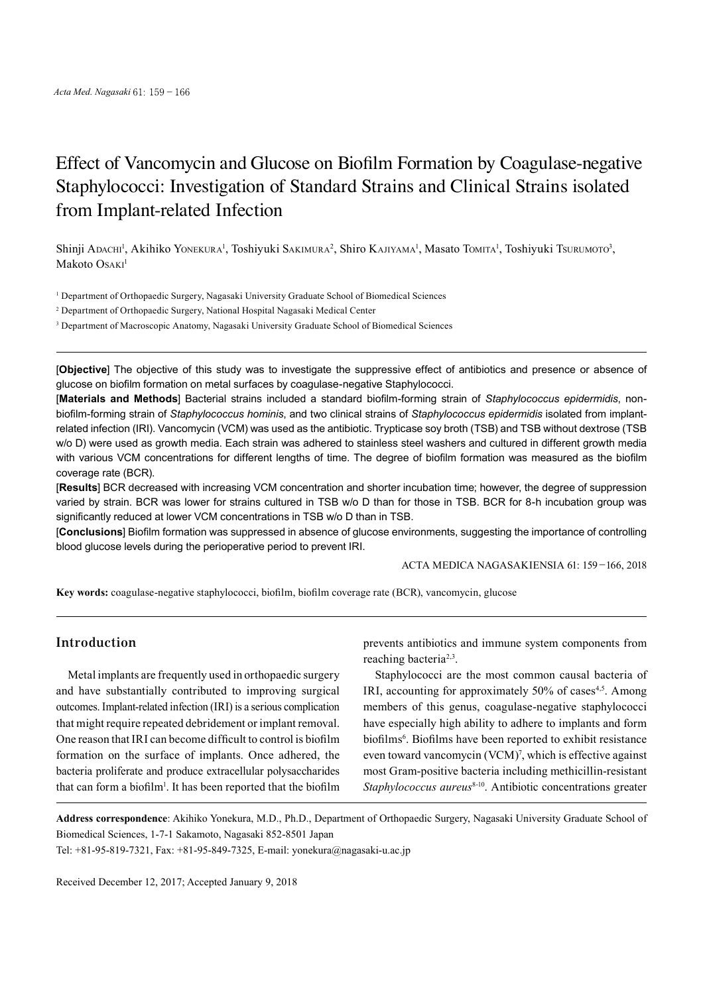# Effect of Vancomycin and Glucose on Biofilm Formation by Coagulase-negative Staphylococci: Investigation of Standard Strains and Clinical Strains isolated from Implant-related Infection

Shinji Adachi<sup>1</sup>, Akihiko Yonekura<sup>1</sup>, Toshiyuki Sakımura<sup>2</sup>, Shiro Kajiyama<sup>1</sup>, Masato Tomita<sup>1</sup>, Toshiyuki Tsurumoto<sup>3</sup>, Makoto Osaki<sup>1</sup>

1 Department of Orthopaedic Surgery, Nagasaki University Graduate School of Biomedical Sciences

2 Department of Orthopaedic Surgery, National Hospital Nagasaki Medical Center

<sup>3</sup> Department of Macroscopic Anatomy, Nagasaki University Graduate School of Biomedical Sciences

[**Objective**] The objective of this study was to investigate the suppressive effect of antibiotics and presence or absence of glucose on biofilm formation on metal surfaces by coagulase-negative Staphylococci.

[**Materials and Methods**] Bacterial strains included a standard biofilm-forming strain of *Staphylococcus epidermidis*, nonbiofilm-forming strain of *Staphylococcus hominis*, and two clinical strains of *Staphylococcus epidermidis* isolated from implantrelated infection (IRI). Vancomycin (VCM) was used as the antibiotic. Trypticase soy broth (TSB) and TSB without dextrose (TSB w/o D) were used as growth media. Each strain was adhered to stainless steel washers and cultured in different growth media with various VCM concentrations for different lengths of time. The degree of biofilm formation was measured as the biofilm coverage rate (BCR).

[**Results**] BCR decreased with increasing VCM concentration and shorter incubation time; however, the degree of suppression varied by strain. BCR was lower for strains cultured in TSB w/o D than for those in TSB. BCR for 8-h incubation group was significantly reduced at lower VCM concentrations in TSB w/o D than in TSB.

[**Conclusions**] Biofilm formation was suppressed in absence of glucose environments, suggesting the importance of controlling blood glucose levels during the perioperative period to prevent IRI.

ACTA MEDICA NAGASAKIENSIA 61: 159−166, 2018

**Key words:** coagulase-negative staphylococci, biofilm, biofilm coverage rate (BCR), vancomycin, glucose

# **Introduction**

Metal implants are frequently used in orthopaedic surgery and have substantially contributed to improving surgical outcomes. Implant-related infection (IRI) is a serious complication that might require repeated debridement or implant removal. One reason that IRI can become difficult to control is biofilm formation on the surface of implants. Once adhered, the bacteria proliferate and produce extracellular polysaccharides that can form a biofilm<sup>1</sup>. It has been reported that the biofilm

prevents antibiotics and immune system components from reaching bacteria<sup>2,3</sup>.

Staphylococci are the most common causal bacteria of IRI, accounting for approximately 50% of cases<sup>4,5</sup>. Among members of this genus, coagulase-negative staphylococci have especially high ability to adhere to implants and form biofilms<sup>6</sup>. Biofilms have been reported to exhibit resistance even toward vancomycin (VCM) 7 , which is effective against most Gram-positive bacteria including methicillin-resistant Staphylococcus aureus<sup>8-10</sup>. Antibiotic concentrations greater

**Address correspondence**: Akihiko Yonekura, M.D., Ph.D., Department of Orthopaedic Surgery, Nagasaki University Graduate School of Biomedical Sciences, 1-7-1 Sakamoto, Nagasaki 852-8501 Japan

Tel: +81-95-819-7321, Fax: +81-95-849-7325, E-mail: yonekura@nagasaki-u.ac.jp

Received December 12, 2017; Accepted January 9, 2018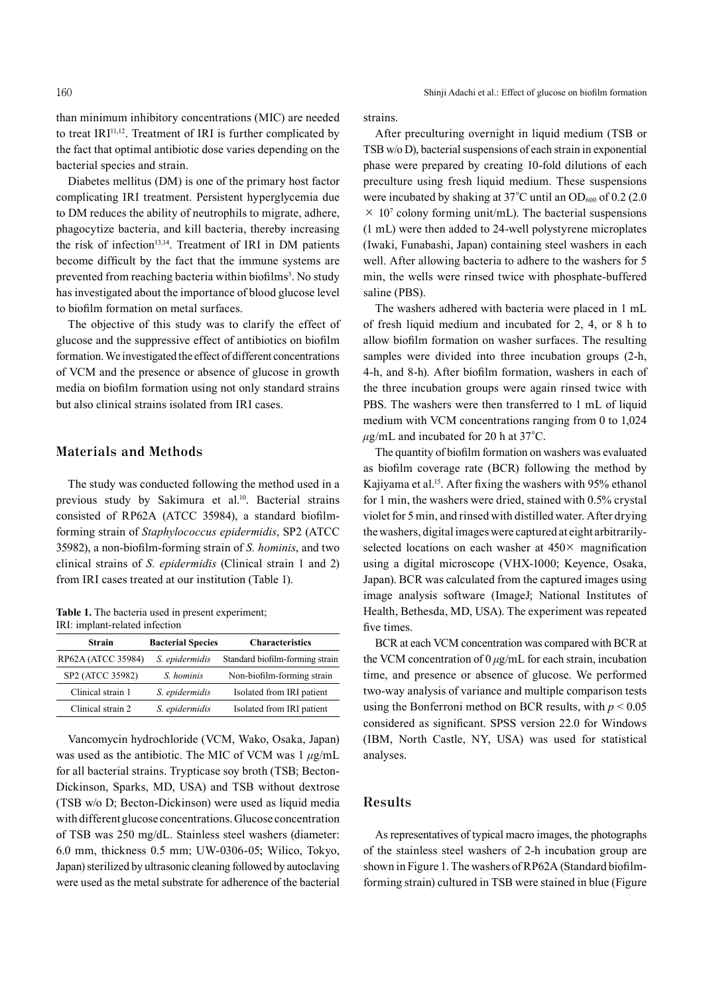than minimum inhibitory concentrations (MIC) are needed to treat IRI<sup>11,12</sup>. Treatment of IRI is further complicated by the fact that optimal antibiotic dose varies depending on the bacterial species and strain.

Diabetes mellitus (DM) is one of the primary host factor complicating IRI treatment. Persistent hyperglycemia due to DM reduces the ability of neutrophils to migrate, adhere, phagocytize bacteria, and kill bacteria, thereby increasing the risk of infection<sup>13,14</sup>. Treatment of IRI in DM patients become difficult by the fact that the immune systems are prevented from reaching bacteria within biofilms<sup>3</sup>. No study has investigated about the importance of blood glucose level to biofilm formation on metal surfaces.

The objective of this study was to clarify the effect of glucose and the suppressive effect of antibiotics on biofilm formation.We investigated the effect of different concentrations of VCM and the presence or absence of glucose in growth media on biofilm formation using not only standard strains but also clinical strains isolated from IRI cases.

# **Materials and Methods**

The study was conducted following the method used in a previous study by Sakimura et al. 10 . Bacterial strains consisted of RP62A (ATCC 35984), a standard biofilmforming strain of *Staphylococcus epidermidis*, SP2 (ATCC 35982), a non-biofilm-forming strain of *S. hominis*, and two clinical strains of *S. epidermidis* (Clinical strain 1 and 2) from IRI cases treated at our institution (Table 1).

| <b>Table 1.</b> The bacteria used in present experiment; |
|----------------------------------------------------------|
| IRI: implant-related infection                           |

| <b>Strain</b>      | <b>Bacterial Species</b> | <b>Characteristics</b>          |
|--------------------|--------------------------|---------------------------------|
| RP62A (ATCC 35984) | S. epidermidis           | Standard biofilm-forming strain |
| SP2 (ATCC 35982)   | S. hominis               | Non-biofilm-forming strain      |
| Clinical strain 1  | S. epidermidis           | Isolated from IRI patient       |
| Clinical strain 2  | S. epidermidis           | Isolated from IRI patient       |

Vancomycin hydrochloride (VCM, Wako, Osaka, Japan) was used as the antibiotic. The MIC of VCM was 1 *μ*g/mL for all bacterial strains. Trypticase soy broth (TSB; Becton-Dickinson, Sparks, MD, USA) and TSB without dextrose (TSB w/o D; Becton-Dickinson) were used as liquid media with different glucose concentrations.Glucose concentration of TSB was 250 mg/dL. Stainless steel washers (diameter: 6.0 mm, thickness 0.5 mm; UW-0306-05; Wilico, Tokyo, Japan) sterilized by ultrasonic cleaning followed by autoclaving were used as the metal substrate for adherence of the bacterial

strains.

After preculturing overnight in liquid medium (TSB or TSB w/o D), bacterial suspensions of each strain in exponential phase were prepared by creating 10-fold dilutions of each preculture using fresh liquid medium. These suspensions were incubated by shaking at  $37^{\circ}$ C until an OD<sub>600</sub> of 0.2 (2.0)  $\times$  10<sup>7</sup> colony forming unit/mL). The bacterial suspensions (1 mL) were then added to 24-well polystyrene microplates (Iwaki, Funabashi, Japan) containing steel washers in each well. After allowing bacteria to adhere to the washers for 5 min, the wells were rinsed twice with phosphate-buffered saline (PBS).

The washers adhered with bacteria were placed in 1 mL of fresh liquid medium and incubated for 2, 4, or 8 h to allow biofilm formation on washer surfaces. The resulting samples were divided into three incubation groups  $(2-h,$ 4-h, and 8-h). After biofilm formation, washers in each of the three incubation groups were again rinsed twice with PBS. The washers were then transferred to 1 mL of liquid medium with VCM concentrations ranging from 0 to 1,024 *μ*g/mL and incubated for 20 h at 37°C.

The quantity of biofilm formation on washers was evaluated as biofilm coverage rate (BCR) following the method by Kajiyama et al. 15 . After fixing the washers with 95% ethanol for 1 min, the washers were dried, stained with 0.5% crystal violet for 5 min, and rinsed with distilled water. After drying thewashers, digital imageswere captured at eight arbitrarilyselected locations on each washer at 450× magnification using a digital microscope (VHX-1000; Keyence, Osaka, Japan). BCR was calculated from the captured images using image analysis software (ImageJ; National Institutes of Health, Bethesda, MD, USA). The experiment was repeated five times.

BCR at each VCM concentration was compared with BCR at the VCM concentration of 0 *μ*g/mL for each strain, incubation time, and presence or absence of glucose. We performed two-way analysis of variance and multiple comparison tests using the Bonferroni method on BCR results, with  $p < 0.05$ considered as significant. SPSS version 22.0 for Windows (IBM, North Castle, NY, USA) was used for statistical analyses.

## **Results**

As representatives of typical macro images, the photographs of the stainless steel washers of 2-h incubation group are shown in Figure 1. The washers of RP62A (Standard biofilmforming strain) cultured in TSB were stained in blue (Figure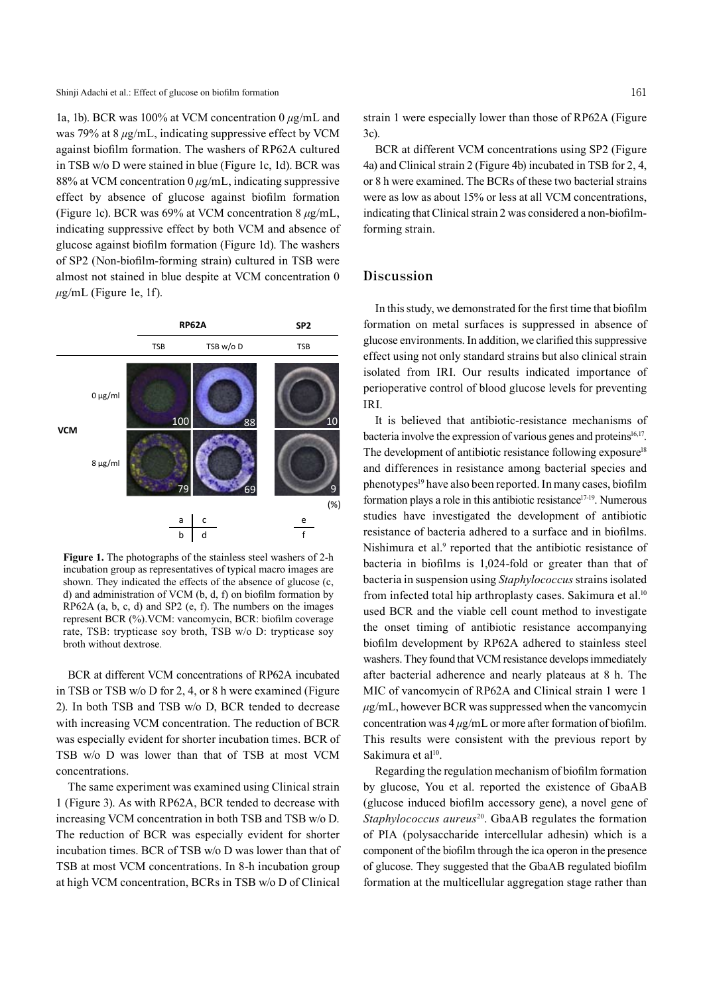1a, 1b). BCR was 100% at VCM concentration 0 *μ*g/mL and was 79% at 8 *μ*g/mL, indicating suppressive effect by VCM against biofilm formation. The washers of RP62A cultured in TSB w/o D were stained in blue (Figure 1c, 1d). BCR was 88% at VCM concentration 0 *μ*g/mL, indicating suppressive effect by absence of glucose against biofilm formation (Figure 1c). BCR was 69% at VCM concentration 8 *μ*g/mL, indicating suppressive effect by both VCM and absence of glucose against biofilm formation (Figure 1d). The washers of SP2 (Non-biofilm-forming strain) cultured in TSB were almost not stained in blue despite at VCM concentration 0  $\mu$ g/mL (Figure 1e, 1f).



**Figure 1.** The photographs of the stainless steel washers of 2-h incubation group as representatives of typical macro images are shown. They indicated the effects of the absence of glucose (c, d) and administration of VCM (b, d, f) on biofilm formation by RP62A (a, b, c, d) and SP2 (e, f). The numbers on the images represent BCR (%).VCM: vancomycin, BCR: biofilm coverage rate, TSB: trypticase soy broth, TSB w/o D: trypticase soy broth without dextrose.

BCR at different VCM concentrations of RP62A incubated in TSB or TSB w/o D for 2, 4, or 8 h were examined (Figure 2). In both TSB and TSB w/o D, BCR tended to decrease with increasing VCM concentration. The reduction of BCR was especially evident for shorter incubation times. BCR of TSB w/o D was lower than that of TSB at most VCM concentrations.

The same experiment was examined using Clinical strain 1 (Figure 3). As with RP62A, BCR tended to decrease with increasing VCM concentration in both TSB and TSB w/o D. The reduction of BCR was especially evident for shorter incubation times. BCR of TSB w/o D was lower than that of TSB at most VCM concentrations. In 8-h incubation group at high VCM concentration, BCRs in TSB w/o D of Clinical

strain 1 were especially lower than those of RP62A (Figure 3c).

BCR at different VCM concentrations using SP2 (Figure 4a) and Clinical strain 2 (Figure 4b) incubated in TSB for 2, 4, or 8 h were examined. The BCRs of these two bacterial strains were as low as about 15% or less at all VCM concentrations, indicating that Clinical strain 2 was considered a non-biofilmforming strain.

### **Discussion**

In thisstudy, we demonstrated for the first time that biofilm formation on metal surfaces is suppressed in absence of glucose environments. In addition, we clarified this suppressive effect using not only standard strains but also clinical strain isolated from IRI. Our results indicated importance of perioperative control of blood glucose levels for preventing IRI.

It is believed that antibiotic-resistance mechanisms of bacteria involve the expression of various genes and proteins<sup>16,17</sup>. The development of antibiotic resistance following exposure<sup>18</sup> and differences in resistance among bacterial species and phenotypes <sup>19</sup> have also been reported. In many cases, biofilm formation plays a role in this antibiotic resistance<sup>17-19</sup>. Numerous studies have investigated the development of antibiotic resistance of bacteria adhered to a surface and in biofilms. Nishimura et al. <sup>9</sup> reported that the antibiotic resistance of bacteria in biofilms is 1,024-fold or greater than that of bacteria in suspension using *Staphylococcus* strains isolated from infected total hip arthroplasty cases. Sakimura et al.<sup>10</sup> used BCR and the viable cell count method to investigate the onset timing of antibiotic resistance accompanying biofilm development by RP62A adhered to stainless steel washers. They found that VCM resistance develops immediately after bacterial adherence and nearly plateaus at 8 h. The MIC of vancomycin of RP62A and Clinical strain 1 were 1  $\mu$ g/mL, however BCR was suppressed when the vancomycin concentration was 4 *μ*g/mL or more after formation of biofilm. This results were consistent with the previous report by Sakimura et al<sup>10</sup>.

Regarding the regulation mechanism of biofilm formation by glucose, You et al. reported the existence of GbaAB (glucose induced biofilm accessory gene), a novel gene of *Staphylococcus aureus*<sup>20</sup> . GbaAB regulates the formation of PIA (polysaccharide intercellular adhesin) which is a component of the biofilm through the ica operon in the presence of glucose. They suggested that the GbaAB regulated biofilm formation at the multicellular aggregation stage rather than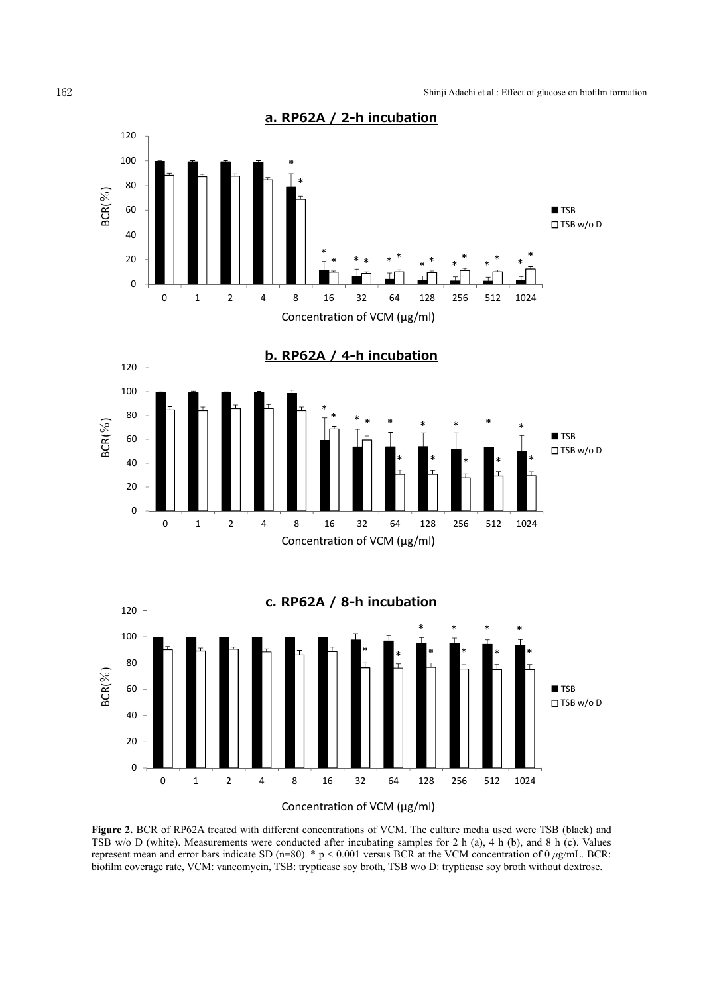

represent mean and error bars indicate SD (n=80). \* p < 0.001 versus BCR at the VCM concentration of 0 *μg/mL*. BCR:<br>hiofilm coverage rate VCM: vancomycin TSB: trypticase sov broth TSB w/o D: trypticase sov broth without **Figure 2.** BCR of RP62A treated with different concentrations of VCM. The culture media used were TSB (black) and TSB w/o D (white). Measurements were conducted after incubating samples for 2 h (a), 4 h (b), and 8 h (c). Values biofilm coverage rate, VCM: vancomycin, TSB: trypticase soy broth, TSB w/o D: trypticase soy broth without dextrose.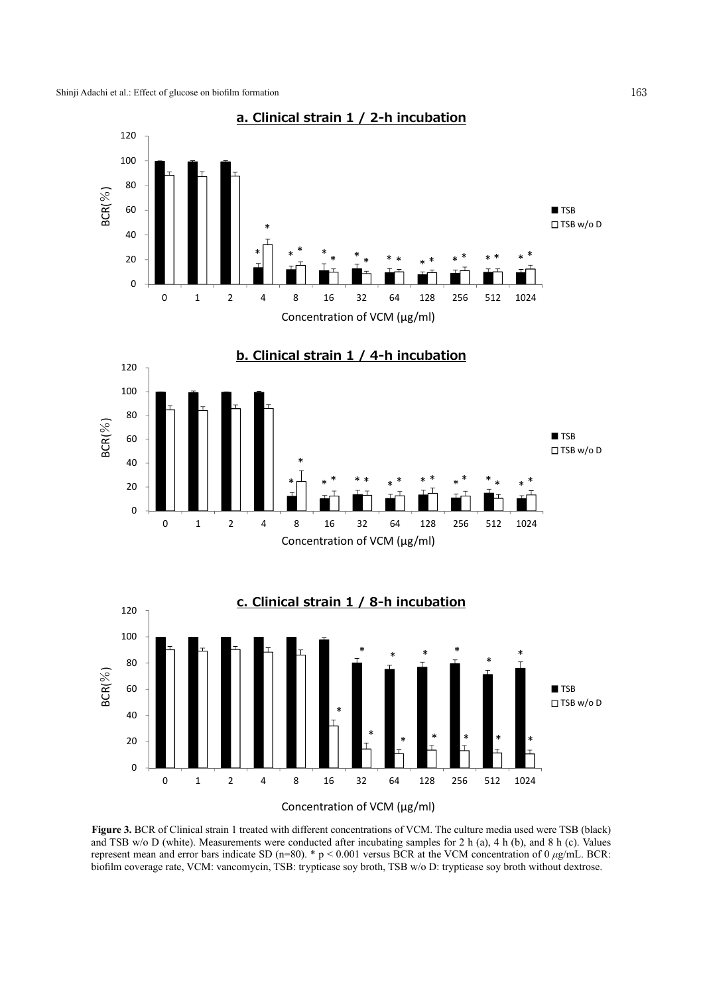

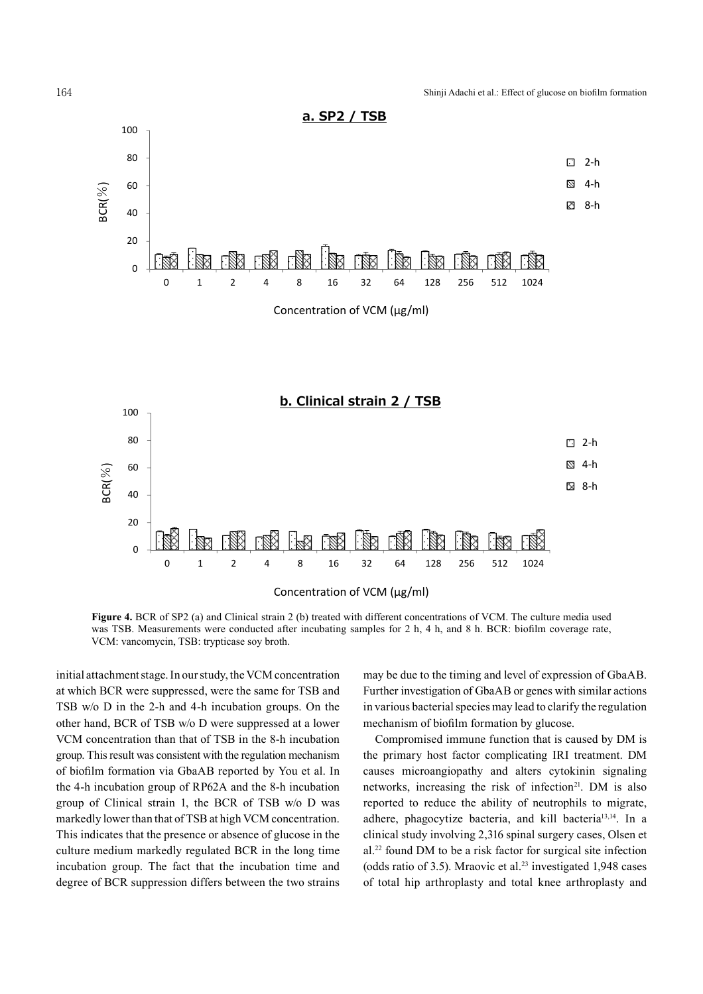

**Figure 4.** BCR of SP2 (a) and Clinical strain 2 (b) treated with different concentrations of VCM. The culture media used was TSB. Measurements were conducted after incubating samples for 2 h, 4 h, and 8 h. BCR: biofilm coverage rate, VCM: vancomycin, TSB: trypticase soy broth.

initial attachment stage. In our study, the VCM concentration at which BCR were suppressed, were the same for TSB and TSB w/o D in the 2-h and 4-h incubation groups. On the other hand, BCR of TSB w/o D were suppressed at a lower VCM concentration than that of TSB in the 8-h incubation group. This result was consistent with the regulation mechanism of biofilm formation via GbaAB reported by You et al. In the 4-h incubation group of RP62A and the 8-h incubation group of Clinical strain 1, the BCR of TSB w/o D was markedly lower than that of TSB at high VCM concentration. This indicates that the presence or absence of glucose in the culture medium markedly regulated BCR in the long time incubation group. The fact that the incubation time and degree of BCR suppression differs between the two strains may be due to the timing and level of expression of GbaAB. Further investigation of GbaAB or genes with similar actions in various bacterial species may lead to clarify the regulation mechanism of biofilm formation by glucose.

Compromised immune function that is caused by DM is the primary host factor complicating IRI treatment. DM causes microangiopathy and alters cytokinin signaling causes microangiopathy and aiters cytokinin signaling<br>networks, increasing the risk of infection<sup>21</sup>. DM is also reported to reduce the ability of neutrophils to migrate, adhere, phagocytize bacteria, and kill bacteria<sup>13,14</sup>. In a clinical study involving 2,316 spinal surgery cases, Olsen et al. <sup>22</sup> found DM to be a risk factor for surgical site infection (odds ratio of 3.5). Mraovic et al. <sup>23</sup> investigated 1,948 cases of total hip arthroplasty and total knee arthroplasty and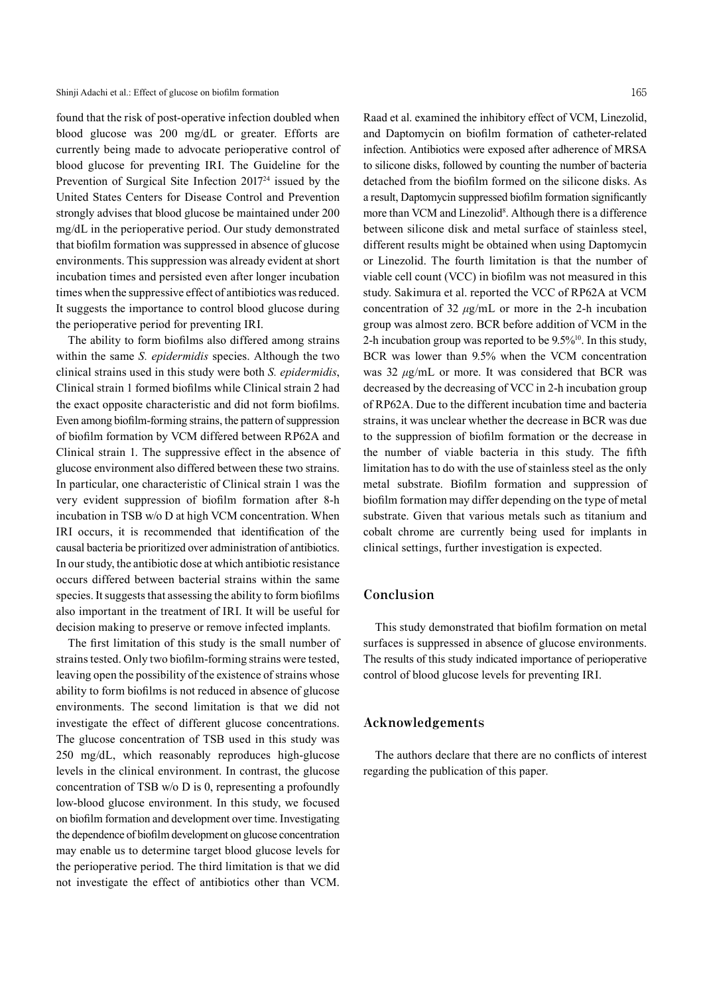found that the risk of post-operative infection doubled when blood glucose was 200 mg/dL or greater. Efforts are currently being made to advocate perioperative control of blood glucose for preventing IRI. The Guideline for the Prevention of Surgical Site Infection 201724 issued by the United States Centers for Disease Control and Prevention strongly advises that blood glucose be maintained under 200 mg/dL in the perioperative period. Our study demonstrated that biofilm formation was suppressed in absence of glucose environments. This suppression was already evident at short incubation times and persisted even after longer incubation times when the suppressive effect of antibiotics was reduced. It suggests the importance to control blood glucose during the perioperative period for preventing IRI.

The ability to form biofilms also differed among strains within the same *S. epidermidis* species. Although the two clinical strains used in this study were both *S. epidermidis*, Clinical strain 1 formed biofilms while Clinical strain 2 had the exact opposite characteristic and did not form biofilms. Even among biofilm-forming strains, the pattern of suppression of biofilm formation by VCM differed between RP62A and Clinical strain 1. The suppressive effect in the absence of glucose environment also differed between these two strains. In particular, one characteristic of Clinical strain 1 was the very evident suppression of biofilm formation after 8-h incubation in TSB w/o D at high VCM concentration. When IRI occurs, it is recommended that identification of the causal bacteria be prioritized over administration of antibiotics. In ourstudy, the antibiotic dose at which antibiotic resistance occurs differed between bacterial strains within the same species. It suggests that assessing the ability to form biofilms also important in the treatment of IRI. It will be useful for decision making to preserve or remove infected implants.

The first limitation of this study is the small number of strains tested. Only two biofilm-forming strains were tested. leaving open the possibility of the existence of strains whose ability to form biofilms is not reduced in absence of glucose environments. The second limitation is that we did not investigate the effect of different glucose concentrations. The glucose concentration of TSB used in this study was 250 mg/dL, which reasonably reproduces high-glucose levels in the clinical environment. In contrast, the glucose concentration of TSB w/o D is 0, representing a profoundly low-blood glucose environment. In this study, we focused on biofilm formation and development over time. Investigating the dependence of biofilm development on glucose concentration may enable us to determine target blood glucose levels for the perioperative period. The third limitation is that we did not investigate the effect of antibiotics other than VCM.

Raad et al. examined the inhibitory effect of VCM, Linezolid, and Daptomycin on biofilm formation of catheter-related infection. Antibiotics were exposed after adherence of MRSA to silicone disks, followed by counting the number of bacteria detached from the biofilm formed on the silicone disks. As a result, Daptomycin suppressed biofilm formation significantly more than VCM and Linezolid<sup>8</sup>. Although there is a difference between silicone disk and metal surface of stainless steel, different results might be obtained when using Daptomycin or Linezolid. The fourth limitation is that the number of viable cell count (VCC) in biofilm was not measured in this study. Sakimura et al. reported the VCC of RP62A at VCM concentration of 32 *μ*g/mL or more in the 2-h incubation group was almost zero. BCR before addition of VCM in the 2-h incubation group was reported to be  $9.5\%$ <sup>10</sup>. In this study, BCR was lower than 9.5% when the VCM concentration was 32 *μ*g/mL or more. It was considered that BCR was decreased by the decreasing of VCC in 2-h incubation group of RP62A. Due to the different incubation time and bacteria strains, it was unclear whether the decrease in BCR was due to the suppression of biofilm formation or the decrease in the number of viable bacteria in this study. The fifth limitation has to do with the use of stainless steel as the only metal substrate. Biofilm formation and suppression of biofilm formation may differ depending on the type of metal substrate. Given that various metals such as titanium and cobalt chrome are currently being used for implants in clinical settings, further investigation is expected.

# **Conclusion**

This study demonstrated that biofilm formation on metal surfaces is suppressed in absence of glucose environments. The results of this study indicated importance of perioperative control of blood glucose levels for preventing IRI.

### **Acknowledgements**

The authors declare that there are no conflicts of interest regarding the publication of this paper.